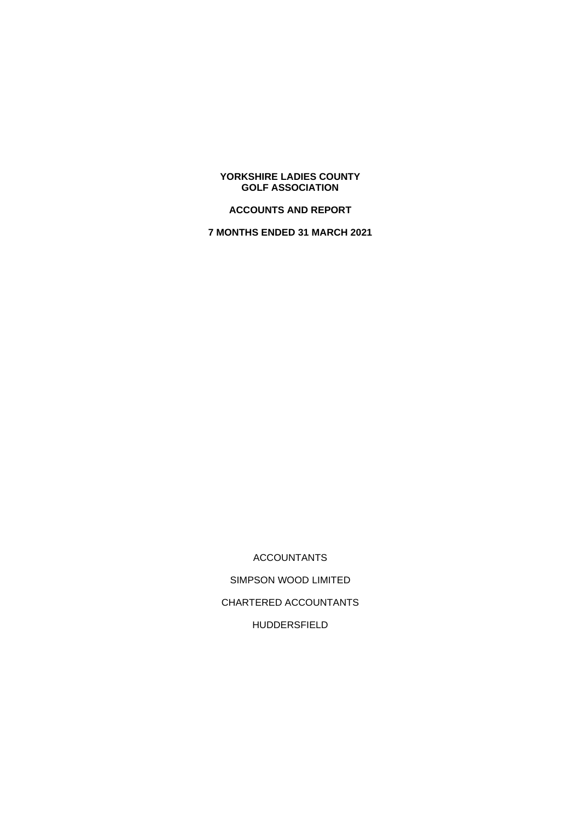### **YORKSHIRE LADIES COUNTY GOLF ASSOCIATION**

# **ACCOUNTS AND REPORT**

**7 MONTHS ENDED 31 MARCH 2021**

ACCOUNTANTS SIMPSON WOOD LIMITED CHARTERED ACCOUNTANTS HUDDERSFIELD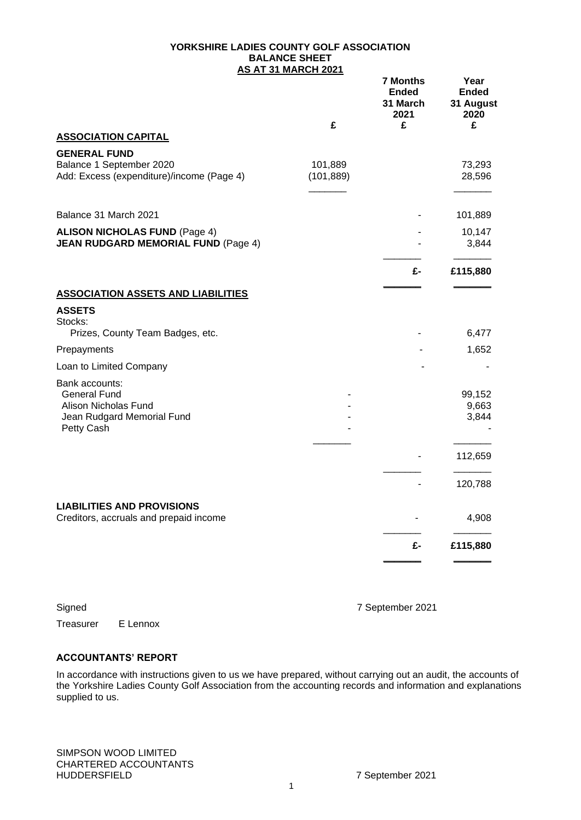#### **YORKSHIRE LADIES COUNTY GOLF ASSOCIATION BALANCE SHEET AS AT 31 MARCH 2021**

|                                                                                                           |                       | <b>7 Months</b><br>Ended<br>31 March<br>2021 | Year<br><b>Ended</b><br>31 August<br>2020 |
|-----------------------------------------------------------------------------------------------------------|-----------------------|----------------------------------------------|-------------------------------------------|
| <b>ASSOCIATION CAPITAL</b>                                                                                | £                     | £                                            | £                                         |
| <b>GENERAL FUND</b>                                                                                       |                       |                                              |                                           |
| Balance 1 September 2020<br>Add: Excess (expenditure)/income (Page 4)                                     | 101,889<br>(101, 889) |                                              | 73,293<br>28,596                          |
| Balance 31 March 2021                                                                                     |                       |                                              | 101,889                                   |
| <b>ALISON NICHOLAS FUND (Page 4)</b><br><b>JEAN RUDGARD MEMORIAL FUND (Page 4)</b>                        |                       |                                              | 10,147<br>3,844                           |
|                                                                                                           |                       | £-                                           | £115,880                                  |
| <b>ASSOCIATION ASSETS AND LIABILITIES</b>                                                                 |                       |                                              |                                           |
| <b>ASSETS</b>                                                                                             |                       |                                              |                                           |
| Stocks:<br>Prizes, County Team Badges, etc.                                                               |                       |                                              | 6,477                                     |
| Prepayments                                                                                               |                       |                                              | 1,652                                     |
| Loan to Limited Company                                                                                   |                       |                                              |                                           |
| Bank accounts:<br><b>General Fund</b><br>Alison Nicholas Fund<br>Jean Rudgard Memorial Fund<br>Petty Cash |                       |                                              | 99,152<br>9,663<br>3,844                  |
|                                                                                                           |                       |                                              | 112,659                                   |
|                                                                                                           |                       |                                              | 120,788                                   |
| <b>LIABILITIES AND PROVISIONS</b><br>Creditors, accruals and prepaid income                               |                       |                                              | 4,908                                     |
|                                                                                                           |                       | £-                                           | £115,880                                  |
|                                                                                                           |                       |                                              |                                           |

Treasurer E Lennox

Signed 7 September 2021

### **ACCOUNTANTS' REPORT**

In accordance with instructions given to us we have prepared, without carrying out an audit, the accounts of the Yorkshire Ladies County Golf Association from the accounting records and information and explanations supplied to us.

SIMPSON WOOD LIMITED CHARTERED ACCOUNTANTS HUDDERSFIELD 7 September 2021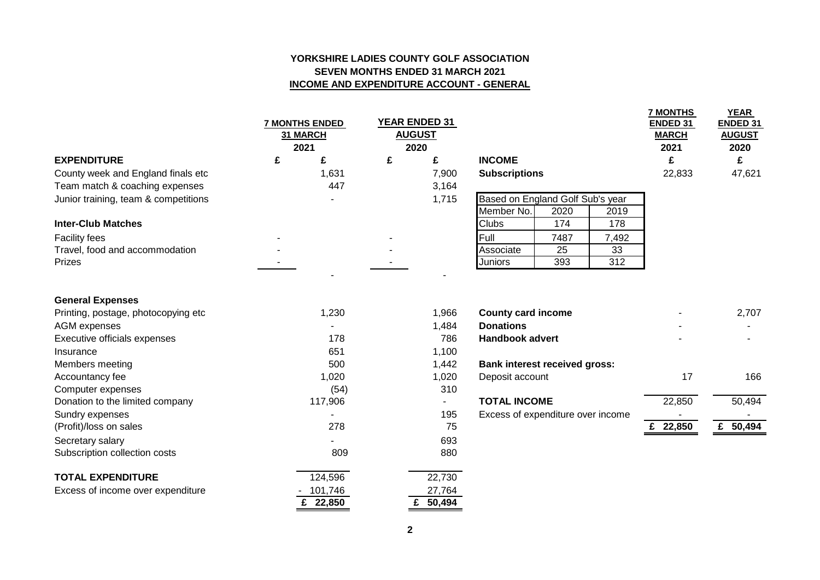## **YORKSHIRE LADIES COUNTY GOLF ASSOCIATION SEVEN MONTHS ENDED 31 MARCH 2021 INCOME AND EXPENDITURE ACCOUNT - GENERAL**

|                                                                | <b>7 MONTHS ENDED</b><br>31 MARCH<br>2021 |          |   | <b>YEAR ENDED 31</b><br><b>AUGUST</b><br>2020 |                                      |      |                  | <b>7 MONTHS</b><br><b>ENDED 31</b><br><b>MARCH</b><br>2021 | <b>YEAR</b><br>ENDED 31<br><b>AUGUST</b><br>2020 |
|----------------------------------------------------------------|-------------------------------------------|----------|---|-----------------------------------------------|--------------------------------------|------|------------------|------------------------------------------------------------|--------------------------------------------------|
| <b>EXPENDITURE</b>                                             | £                                         | £        | £ | £                                             | <b>INCOME</b>                        |      |                  | £                                                          | £                                                |
| County week and England finals etc                             |                                           | 1,631    |   | 7,900                                         | <b>Subscriptions</b>                 |      |                  | 22,833                                                     | 47,621                                           |
| Team match & coaching expenses                                 |                                           | 447      |   | 3,164                                         |                                      |      |                  |                                                            |                                                  |
| Junior training, team & competitions                           |                                           |          |   | 1,715                                         | Based on England Golf Sub's year     |      |                  |                                                            |                                                  |
|                                                                |                                           |          |   |                                               | Member No.                           | 2020 | 2019             |                                                            |                                                  |
| <b>Inter-Club Matches</b>                                      |                                           |          |   |                                               | <b>Clubs</b>                         | 174  | 178              |                                                            |                                                  |
| <b>Facility fees</b>                                           |                                           |          |   |                                               | Full                                 | 7487 | 7,492            |                                                            |                                                  |
| Travel, food and accommodation                                 |                                           |          |   |                                               | Associate                            | 25   | 33               |                                                            |                                                  |
| Prizes                                                         |                                           |          |   |                                               | <b>Juniors</b>                       | 393  | $\overline{312}$ |                                                            |                                                  |
| <b>General Expenses</b><br>Printing, postage, photocopying etc |                                           | 1,230    |   | 1,966                                         | <b>County card income</b>            |      |                  |                                                            | 2,707                                            |
| <b>AGM</b> expenses                                            |                                           |          |   | 1,484                                         | <b>Donations</b>                     |      |                  |                                                            |                                                  |
| Executive officials expenses                                   |                                           | 178      |   | 786                                           | <b>Handbook advert</b>               |      |                  |                                                            |                                                  |
| Insurance                                                      |                                           | 651      |   | 1,100                                         |                                      |      |                  |                                                            |                                                  |
| Members meeting                                                |                                           | 500      |   | 1,442                                         | <b>Bank interest received gross:</b> |      |                  |                                                            |                                                  |
| Accountancy fee                                                |                                           | 1,020    |   | 1,020                                         | Deposit account                      |      |                  | 17                                                         | 166                                              |
| Computer expenses                                              |                                           | (54)     |   | 310                                           |                                      |      |                  |                                                            |                                                  |
| Donation to the limited company                                |                                           | 117,906  |   | $\blacksquare$                                | <b>TOTAL INCOME</b>                  |      |                  | 22,850                                                     | 50,494                                           |
| Sundry expenses                                                |                                           |          |   | 195                                           | Excess of expenditure over income    |      |                  |                                                            |                                                  |
| (Profit)/loss on sales                                         |                                           | 278      |   | 75                                            |                                      |      |                  | £ 22,850                                                   | £ 50,494                                         |
| Secretary salary                                               |                                           |          |   | 693                                           |                                      |      |                  |                                                            |                                                  |
| Subscription collection costs                                  |                                           | 809      |   | 880                                           |                                      |      |                  |                                                            |                                                  |
| <b>TOTAL EXPENDITURE</b>                                       |                                           | 124,596  |   | 22,730                                        |                                      |      |                  |                                                            |                                                  |
| Excess of income over expenditure                              |                                           | 101,746  |   | 27,764                                        |                                      |      |                  |                                                            |                                                  |
|                                                                |                                           | £ 22,850 |   | £ 50,494                                      |                                      |      |                  |                                                            |                                                  |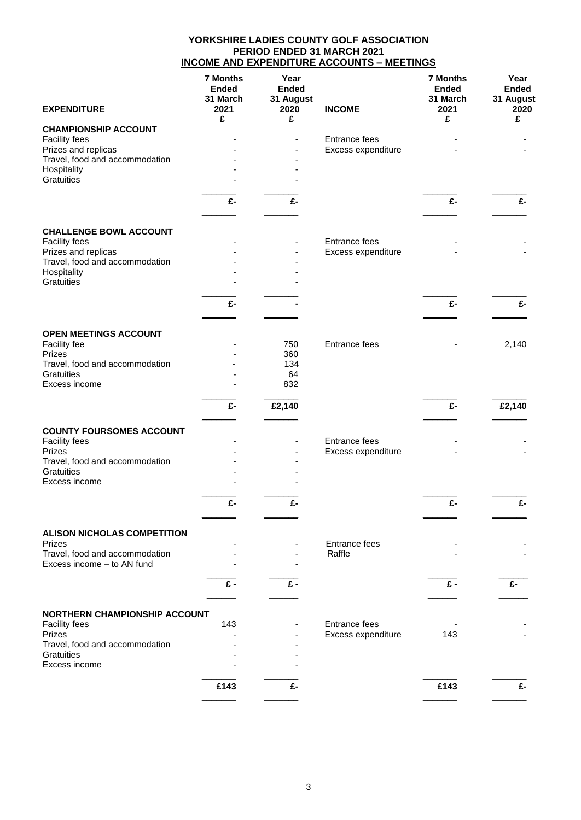### **YORKSHIRE LADIES COUNTY GOLF ASSOCIATION PERIOD ENDED 31 MARCH 2021 INCOME AND EXPENDITURE ACCOUNTS – MEETINGS**

|                                                       | <b>7 Months</b><br><b>Ended</b><br>31 March | Year<br><b>Ended</b><br>31 August |                      | <b>7 Months</b><br><b>Ended</b><br>31 March | Year<br><b>Ended</b><br>31 August |
|-------------------------------------------------------|---------------------------------------------|-----------------------------------|----------------------|---------------------------------------------|-----------------------------------|
| <b>EXPENDITURE</b>                                    | 2021<br>£                                   | 2020<br>£                         | <b>INCOME</b>        | 2021<br>£                                   | 2020<br>£                         |
| <b>CHAMPIONSHIP ACCOUNT</b>                           |                                             |                                   |                      |                                             |                                   |
| Facility fees                                         |                                             |                                   | Entrance fees        |                                             |                                   |
| Prizes and replicas<br>Travel, food and accommodation |                                             |                                   | Excess expenditure   |                                             |                                   |
| Hospitality                                           |                                             |                                   |                      |                                             |                                   |
| Gratuities                                            |                                             |                                   |                      |                                             |                                   |
|                                                       | £-                                          | £-                                |                      | £-                                          | £-                                |
|                                                       |                                             |                                   |                      |                                             |                                   |
| <b>CHALLENGE BOWL ACCOUNT</b>                         |                                             |                                   |                      |                                             |                                   |
| Facility fees                                         |                                             |                                   | Entrance fees        |                                             |                                   |
| Prizes and replicas                                   |                                             |                                   | Excess expenditure   |                                             |                                   |
| Travel, food and accommodation                        |                                             |                                   |                      |                                             |                                   |
| Hospitality<br>Gratuities                             |                                             |                                   |                      |                                             |                                   |
|                                                       |                                             |                                   |                      |                                             |                                   |
|                                                       | £-                                          |                                   |                      | £-                                          | £-                                |
|                                                       |                                             |                                   |                      |                                             |                                   |
|                                                       |                                             |                                   |                      |                                             |                                   |
| OPEN MEETINGS ACCOUNT<br>Facility fee                 |                                             | 750                               | <b>Entrance fees</b> |                                             | 2,140                             |
| Prizes                                                |                                             | 360                               |                      |                                             |                                   |
| Travel, food and accommodation                        |                                             | 134                               |                      |                                             |                                   |
| Gratuities                                            |                                             | 64                                |                      |                                             |                                   |
| Excess income                                         |                                             | 832                               |                      |                                             |                                   |
|                                                       | £-                                          | £2,140                            |                      | £-                                          | £2,140                            |
| <b>COUNTY FOURSOMES ACCOUNT</b>                       |                                             |                                   |                      |                                             |                                   |
| Facility fees                                         |                                             |                                   | Entrance fees        |                                             |                                   |
| Prizes                                                |                                             |                                   | Excess expenditure   |                                             |                                   |
| Travel, food and accommodation                        |                                             |                                   |                      |                                             |                                   |
| Gratuities                                            |                                             |                                   |                      |                                             |                                   |
| Excess income                                         |                                             |                                   |                      |                                             |                                   |
|                                                       | £-                                          | £-                                |                      | £-                                          | £-                                |
|                                                       |                                             |                                   |                      |                                             |                                   |
| <b>ALISON NICHOLAS COMPETITION</b>                    |                                             |                                   |                      |                                             |                                   |
| Prizes                                                |                                             |                                   | Entrance fees        |                                             |                                   |
| Travel, food and accommodation                        |                                             |                                   | Raffle               |                                             |                                   |
| Excess income - to AN fund                            |                                             |                                   |                      |                                             |                                   |
|                                                       | £-                                          | £-                                |                      | £-                                          | £-                                |
|                                                       |                                             |                                   |                      |                                             |                                   |
| NORTHERN CHAMPIONSHIP ACCOUNT                         |                                             |                                   |                      |                                             |                                   |
| <b>Facility fees</b>                                  | 143                                         |                                   | Entrance fees        |                                             |                                   |
| Prizes<br>Travel, food and accommodation              |                                             |                                   | Excess expenditure   | 143                                         |                                   |
| Gratuities                                            |                                             |                                   |                      |                                             |                                   |
| Excess income                                         |                                             |                                   |                      |                                             |                                   |
|                                                       |                                             |                                   |                      |                                             |                                   |
|                                                       | £143                                        | £-                                |                      | £143                                        | £-                                |
|                                                       |                                             |                                   |                      |                                             |                                   |